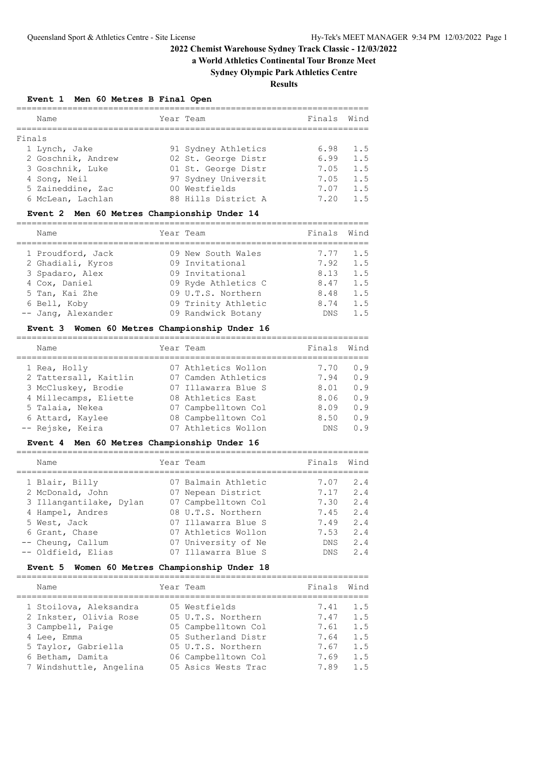**a World Athletics Continental Tour Bronze Meet**

# **Sydney Olympic Park Athletics Centre**

**Results**

**Event 1 Men 60 Metres B Final Open**

|        | Name               | Year Team           | Finals | Wind |
|--------|--------------------|---------------------|--------|------|
| Finals |                    |                     |        |      |
|        | 1 Lynch, Jake      | 91 Sydney Athletics | 6.98   | 1.5  |
|        | 2 Goschnik, Andrew | 02 St. George Distr | 6.99   | 1.5  |
|        | 3 Goschnik, Luke   | 01 St. George Distr | 7.05   | 1.5  |
|        | 4 Song, Neil       | 97 Sydney Universit | 7.05   | 1.5  |
|        | 5 Zaineddine, Zac  | 00 Westfields       | 7.07   | 1.5  |
|        | 6 McLean, Lachlan  | 88 Hills District A | 7.20   | 1.5  |

## **Event 2 Men 60 Metres Championship Under 14**

| Name                                                 | Year Team                                                       | Finals               | Wind              |
|------------------------------------------------------|-----------------------------------------------------------------|----------------------|-------------------|
| 1 Proudford, Jack<br>2 Ghadiali, Kyros               | 09 New South Wales<br>09 Invitational                           | 7.77<br>7.92         | 1.5<br>1.5        |
| 3 Spadaro, Alex<br>4 Cox, Daniel                     | 09 Invitational<br>09 Ryde Athletics C                          | 8.13<br>8.47         | 1.5<br>1.5        |
| 5 Tan, Kai Zhe<br>6 Bell, Koby<br>-- Jang, Alexander | 09 U.T.S. Northern<br>09 Trinity Athletic<br>09 Randwick Botany | 8.48<br>8.74<br>DNS. | 1.5<br>1.5<br>1.5 |

#### **Event 3 Women 60 Metres Championship Under 16**

|  | Name                  | Year Team           | Finals     | Wind |
|--|-----------------------|---------------------|------------|------|
|  | 1 Rea, Holly          | 07 Athletics Wollon | 7.70       | 0.9  |
|  | 2 Tattersall, Kaitlin | 07 Camden Athletics | 7.94       | 0.9  |
|  | 3 McCluskey, Brodie   | 07 Illawarra Blue S | 8.01       | 0.9  |
|  | 4 Millecamps, Eliette | 08 Athletics East   | 8.06       | 0.9  |
|  | 5 Talaia, Nekea       | 07 Campbelltown Col | 8.09       | 0.9  |
|  | 6 Attard, Kaylee      | 08 Campbelltown Col | 8.50       | 0.9  |
|  | -- Rejske, Keira      | 07 Athletics Wollon | <b>DNS</b> | 0.9  |
|  |                       |                     |            |      |

#### **Event 4 Men 60 Metres Championship Under 16**

| Name                    | Year Team           | Finals     | Wind |
|-------------------------|---------------------|------------|------|
| 1 Blair, Billy          | 07 Balmain Athletic | 7.07       | 2.4  |
| 2 McDonald, John        | 07 Nepean District  | 7.17       | 2.4  |
| 3 Illangantilake, Dylan | 07 Campbelltown Col | 7.30       | 2.4  |
| 4 Hampel, Andres        | 08 U.T.S. Northern  | 7.45       | 2.4  |
| 5 West, Jack            | 07 Illawarra Blue S | 7.49       | 2.4  |
| 6 Grant, Chase          | 07 Athletics Wollon | 7.53       | 2.4  |
| -- Cheung, Callum       | 07 University of Ne | <b>DNS</b> | 2.4  |
| -- Oldfield, Elias      | 07 Illawarra Blue S | DNS.       | 2.4  |
|                         |                     |            |      |

## **Event 5 Women 60 Metres Championship Under 18**

|  | Name                    | Year Team           | Finals | Wind |
|--|-------------------------|---------------------|--------|------|
|  | 1 Stoilova, Aleksandra  | 05 Westfields       | 7.41   | 1.5  |
|  | 2 Inkster, Olivia Rose  | 05 U.T.S. Northern  | 7.47   | 1.5  |
|  | 3 Campbell, Paige       | 05 Campbelltown Col | 7.61   | 1.5  |
|  | 4 Lee, Emma             | 05 Sutherland Distr | 7.64   | 1.5  |
|  | 5 Taylor, Gabriella     | 05 U.T.S. Northern  | 7.67   | 1.5  |
|  | 6 Betham, Damita        | 06 Campbelltown Col | 7.69   | 1.5  |
|  | 7 Windshuttle, Angelina | 05 Asics Wests Trac | 7.89   | 1.5  |
|  |                         |                     |        |      |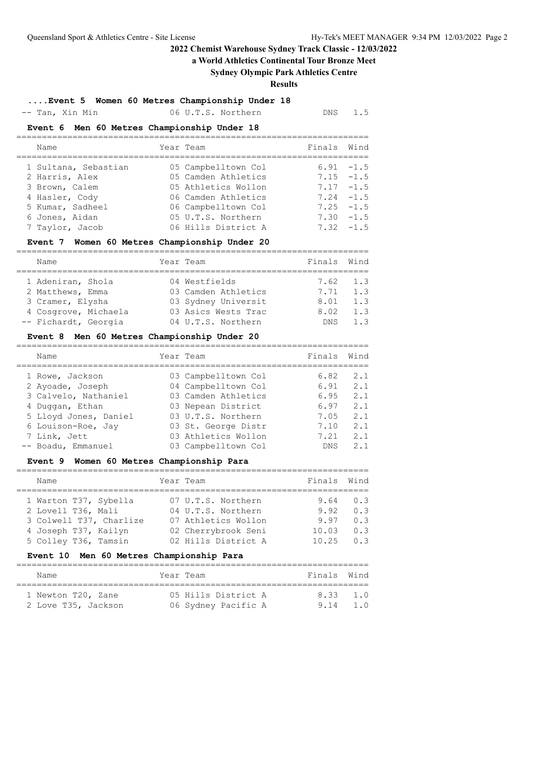**a World Athletics Continental Tour Bronze Meet**

## **Sydney Olympic Park Athletics Centre**

**Results**

**....Event 5 Women 60 Metres Championship Under 18**

-- Tan, Xin Min 06 U.T.S. Northern DNS 1.5

#### **Event 6 Men 60 Metres Championship Under 18**

| Name                                                  | Year Team                                                        | Finals Wind |                                              |
|-------------------------------------------------------|------------------------------------------------------------------|-------------|----------------------------------------------|
| 1 Sultana, Sebastian<br>2 Harris, Alex                | 05 Campbelltown Col<br>05 Camden Athletics                       |             | $6.91 - 1.5$<br>$7.15 - 1.5$                 |
| 3 Brown, Calem<br>4 Hasler, Cody                      | 05 Athletics Wollon<br>06 Camden Athletics                       |             | $7.17 - 1.5$<br>$7.24 -1.5$                  |
| 5 Kumar, Sadheel<br>6 Jones, Aidan<br>7 Taylor, Jacob | 06 Campbelltown Col<br>05 U.T.S. Northern<br>06 Hills District A |             | $7.25 - 1.5$<br>$7.30 - 1.5$<br>$7.32 - 1.5$ |

#### **Event 7 Women 60 Metres Championship Under 20**

| Name                 | Year Team           | Finals Wind |                  |
|----------------------|---------------------|-------------|------------------|
|                      |                     |             |                  |
| 1 Adeniran, Shola    | 04 Westfields       |             | 7.62 1.3         |
| 2 Matthews, Emma     | 03 Camden Athletics | 7.71        | 1.3              |
| 3 Cramer, Elysha     | 03 Sydney Universit | 8.01        | 1.3              |
| 4 Cosgrove, Michaela | 03 Asics Wests Trac | 8.02        | 1.3              |
| -- Fichardt, Georgia | 04 U.T.S. Northern  | DNS.        | $1 \overline{3}$ |

#### **Event 8 Men 60 Metres Championship Under 20**

| Name |                                                                                                                                                                     | Finals                                                                                                                                                                                          | Wind           |
|------|---------------------------------------------------------------------------------------------------------------------------------------------------------------------|-------------------------------------------------------------------------------------------------------------------------------------------------------------------------------------------------|----------------|
|      |                                                                                                                                                                     | 6.82                                                                                                                                                                                            | 2.1            |
|      |                                                                                                                                                                     | 6.91                                                                                                                                                                                            | 2.1            |
|      |                                                                                                                                                                     | 6.95                                                                                                                                                                                            | 2.1            |
|      |                                                                                                                                                                     | 6.97                                                                                                                                                                                            | 2.1            |
|      |                                                                                                                                                                     | 7.05                                                                                                                                                                                            | 2.1            |
|      |                                                                                                                                                                     | 7.10                                                                                                                                                                                            | 2.1            |
|      |                                                                                                                                                                     | 7 21                                                                                                                                                                                            | 2.1            |
|      |                                                                                                                                                                     | <b>DNS</b>                                                                                                                                                                                      | 2 <sub>1</sub> |
|      | 1 Rowe, Jackson<br>2 Ayoade, Joseph<br>3 Calvelo, Nathaniel<br>4 Duggan, Ethan<br>5 Lloyd Jones, Daniel<br>6 Louison-Roe, Jay<br>7 Link, Jett<br>-- Boadu, Emmanuel | Year Team<br>03 Campbelltown Col<br>04 Campbelltown Col<br>03 Camden Athletics<br>03 Nepean District<br>03 U.T.S. Northern<br>03 St. George Distr<br>03 Athletics Wollon<br>03 Campbelltown Col |                |

## **Event 9 Women 60 Metres Championship Para**

| Name                    | Year Team           | Finals | Wind |
|-------------------------|---------------------|--------|------|
|                         |                     |        |      |
| 1 Warton T37, Sybella   | 07 U.T.S. Northern  | 9.64   | 0.3  |
| 2 Lovell T36, Mali      | 04 U.T.S. Northern  | 9.92   | 0.3  |
| 3 Colwell T37, Charlize | 07 Athletics Wollon | 9.97   | 0.3  |
| 4 Joseph T37, Kailyn    | 02 Cherrybrook Seni | 10.03  | 0.3  |
| 5 Colley T36, Tamsin    | 02 Hills District A | 10.25  | 0.3  |
|                         |                     |        |      |

#### **Event 10 Men 60 Metres Championship Para**

| Name                |  | Year Team           |  | Finals Wind |     |  |  |  |  |
|---------------------|--|---------------------|--|-------------|-----|--|--|--|--|
|                     |  |                     |  |             |     |  |  |  |  |
| 1 Newton T20, Zane  |  | 05 Hills District A |  | 8 33 1 0    |     |  |  |  |  |
| 2 Love T35, Jackson |  | 06 Sydney Pacific A |  | 9.14        | 1.0 |  |  |  |  |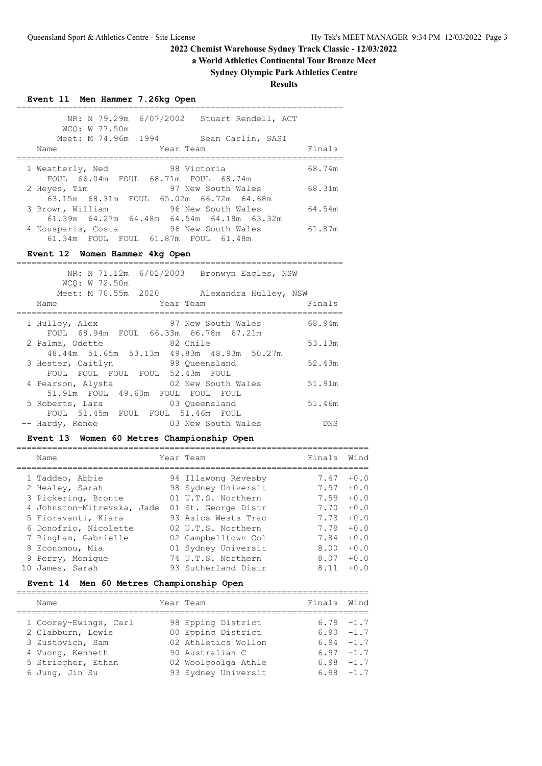# **a World Athletics Continental Tour Bronze Meet**

# **Sydney Olympic Park Athletics Centre**

**Results**

| Event 11 Men Hammer 7.26kg Open                                                            |        |
|--------------------------------------------------------------------------------------------|--------|
| NR: N 79.29m 6/07/2002 Stuart Rendell, ACT<br>WCQ: W 77.50m                                |        |
| Meet: M 74.96m 1994 Sean Carlin, SASI                                                      |        |
| Year Team<br>Name                                                                          | Finals |
| 1 Weatherly, Ned 598 Victoria<br>FOUL 66.04m FOUL 68.71m FOUL 68.74m                       | 68.74m |
| 2 Heyes, Tim 97 New South Wales 68.31m<br>63.15m 68.31m FOUL 65.02m 66.72m 64.68m          |        |
| 3 Brown, William 50 96 New South Wales 64.54m<br>61.39m 64.27m 64.48m 64.54m 64.18m 63.32m |        |
| 4 Kousparis, Costa 96 New South Wales 61.87m<br>61.34m FOUL FOUL 61.87m FOUL 61.48m        |        |
| Event 12 Women Hammer 4kg Open                                                             |        |
| NR: N 71.12m 6/02/2003 Bronwyn Eagles, NSW<br>WCO: W 72.50m                                |        |
| Meet: M 70.55m 2020 Alexandra Hulley, NSW<br>Year Team<br>Name                             | Finals |
| 1 Hulley, Alex 37 New South Wales 68.94m<br>FOUL 68.94m FOUL 66.33m 66.78m 67.21m          |        |
| 2 Palma, Odette 82 Chile<br>48.44m 51.65m 53.13m 49.83m 48.93m 50.27m                      | 53.13m |
| 3 Hester, Caitlyn 59 Queensland<br>FOUL FOUL FOUL FOUL 52.43m FOUL                         | 52.43m |
| 4 Pearson, Alysha   02 New South Wales   51.91m<br>51.91m FOUL 49.60m FOUL FOUL FOUL       |        |
| 5 Roberts, Lara 63 Queensland                                                              | 51.46m |
| FOUL 51.45m FOUL FOUL 51.46m FOUL<br>-- Hardy, Renee<br>03 New South Wales                 |        |

|  | Name                       | Year Team |                     | Finals | Wind   |
|--|----------------------------|-----------|---------------------|--------|--------|
|  | 1 Taddeo, Abbie            |           | 94 Illawong Revesby | 7.47   | $+0.0$ |
|  | 2 Healey, Sarah            |           | 98 Sydney Universit | 7.57   | $+0.0$ |
|  | 3 Pickering, Bronte        |           | 01 U.T.S. Northern  | 7.59   | $+0.0$ |
|  | 4 Johnston-Mitrevska, Jade |           | 01 St. George Distr | 7.70   | $+0.0$ |
|  | 5 Fioravanti, Kiara        |           | 93 Asics Wests Trac | 7.73   | $+0.0$ |
|  | 6 Donofrio, Nicolette      |           | 02 U.T.S. Northern  | 7.79   | $+0.0$ |
|  | 7 Bingham, Gabrielle       |           | 02 Campbelltown Col | 7.84   | $+0.0$ |
|  | 8 Economou, Mia            |           | 01 Sydney Universit | 8.00   | $+0.0$ |
|  | 9 Perry, Monique           |           | 74 U.T.S. Northern  | 8.07   | $+0.0$ |
|  | James, Sarah               |           | 93 Sutherland Distr | 8.11   | $+0.0$ |
|  |                            |           |                     |        |        |

# **Event 14 Men 60 Metres Championship Open**

| Name                  | Year Team           | Finals | Wind         |
|-----------------------|---------------------|--------|--------------|
| 1 Coorey-Ewings, Carl | 98 Epping District  |        | $6.79 - 1.7$ |
| 2 Clabburn, Lewis     | 00 Epping District  |        | $6.90 - 1.7$ |
| 3 Zustovich, Sam      | 02 Athletics Wollon |        | $6.94 -1.7$  |
| 4 Vuong, Kenneth      | 90 Australian C     |        | $6.97 - 1.7$ |
| 5 Striegher, Ethan    | 02 Woolgoolga Athle |        | $6.98 - 1.7$ |
| 6 Jung, Jin Su        | 93 Sydney Universit |        | $6.98 - 1.7$ |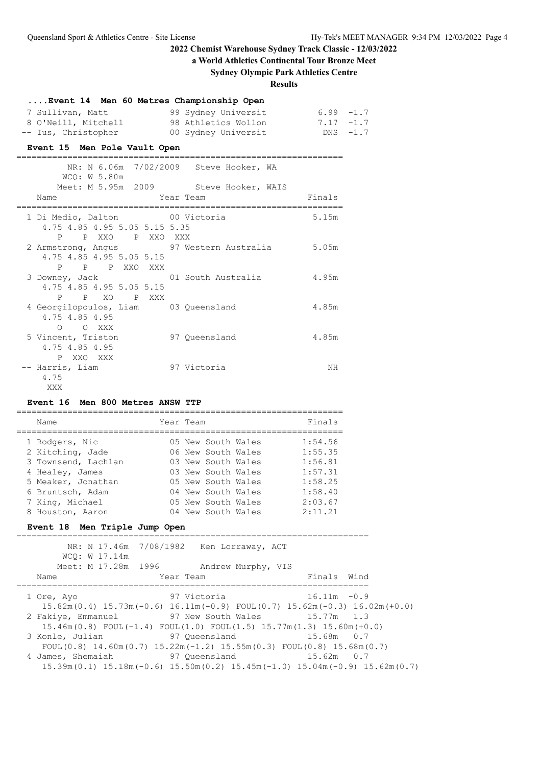**a World Athletics Continental Tour Bronze Meet**

# **Sydney Olympic Park Athletics Centre**

**Results**

| Event 14 Men 60 Metres Championship Open                                             |                                                                                                                                                         |        |  |
|--------------------------------------------------------------------------------------|---------------------------------------------------------------------------------------------------------------------------------------------------------|--------|--|
|                                                                                      | 7 Sullivan, Matt 99 Sydney Universit 6.99 -1.7<br>8 O'Neill, Mitchell 98 Athletics Wollon 7.17 -1.7<br>-- Ius, Christopher 00 Sydney Universit DNS -1.7 |        |  |
| Event 15 Men Pole Vault Open                                                         |                                                                                                                                                         |        |  |
| WCO: W 5.80m                                                                         | NR: N 6.06m 7/02/2009 Steve Hooker, WA                                                                                                                  |        |  |
| Name<br>==============================                                               | Meet: M 5.95m 2009 Steve Hooker, WAIS<br>Year Team                                                                                                      | Finals |  |
| 1 Di Medio, Dalton 00 Victoria<br>4.75 4.85 4.95 5.05 5.15 5.35<br>P P XXO P XXO XXX |                                                                                                                                                         | 5.15m  |  |
| 4.75 4.85 4.95 5.05 5.15<br>P P P XXO XXX                                            | 2 Armstrong, Angus 97 Western Australia 5.05m                                                                                                           |        |  |
| 4.75 4.85 4.95 5.05 5.15<br>P P XO P XXX                                             | 3 Downey, Jack 01 South Australia 4.95m                                                                                                                 |        |  |
| 4 Georgilopoulos, Liam 03 Queensland<br>4.75 4.85 4.95<br>O O XXX                    |                                                                                                                                                         | 4.85m  |  |
| 5 Vincent, Triston 97 Oueensland<br>4.75 4.85 4.95<br>P XXO XXX                      |                                                                                                                                                         | 4.85m  |  |
| -- Harris, Liam<br>4.75<br>XXX                                                       | 97 Victoria                                                                                                                                             | ΝH     |  |

## **Event 16 Men 800 Metres ANSW TTP**

| Name                | Year Team          | Finals  |
|---------------------|--------------------|---------|
| 1 Rodgers, Nic      | 05 New South Wales | 1:54.56 |
| 2 Kitching, Jade    | 06 New South Wales | 1:55.35 |
| 3 Townsend, Lachlan | 03 New South Wales | 1:56.81 |
| 4 Healey, James     | 03 New South Wales | 1:57.31 |
| 5 Meaker, Jonathan  | 05 New South Wales | 1:58.25 |
| 6 Bruntsch, Adam    | 04 New South Wales | 1:58.40 |
| 7 King, Michael     | 05 New South Wales | 2:03.67 |
| 8 Houston, Aaron    | 04 New South Wales | 2:11.21 |

## **Event 18 Men Triple Jump Open**

| WCO: W 17.14m                                                                                                  | NR: N 17.46m 7/08/1982 Ken Lorraway, ACT |                    |                |  |
|----------------------------------------------------------------------------------------------------------------|------------------------------------------|--------------------|----------------|--|
| Meet: M 17.28m 1996                                                                                            |                                          | Andrew Murphy, VIS |                |  |
| Name                                                                                                           | Year Team                                |                    | Finals Wind    |  |
| 1 Ore, Ayo                                                                                                     | 97 Victoria                              |                    | $16.11m - 0.9$ |  |
| $15.82m(0.4)$ $15.73m(-0.6)$ $16.11m(-0.9)$ $FOUL(0.7)$ $15.62m(-0.3)$ $16.02m(+0.0)$                          |                                          |                    |                |  |
| 2 Fakiye, Emmanuel                                                                                             | 97 New South Wales                       |                    | $15.77m$ 1.3   |  |
| $15.46m(0.8)$ FOUL $(-1.4)$ FOUL $(1.0)$ FOUL $(1.5)$ $15.77m(1.3)$ $15.60m(+0.0)$                             |                                          |                    |                |  |
| 3 Konle, Julian                                                                                                | 97 Oueensland                            |                    | $15.68m$ 0.7   |  |
| FOUL $(0.8)$ 14.60m $(0.7)$ 15.22m $(-1.2)$ 15.55m $(0.3)$ FOUL $(0.8)$ 15.68m $(0.7)$                         |                                          |                    |                |  |
| 4 James, Shemaiah                                                                                              | 97 Oueensland                            |                    | $15.62m$ 0.7   |  |
| $15.39$ m $(0.1)$ $15.18$ m $(-0.6)$ $15.50$ m $(0.2)$ $15.45$ m $(-1.0)$ $15.04$ m $(-0.9)$ $15.62$ m $(0.7)$ |                                          |                    |                |  |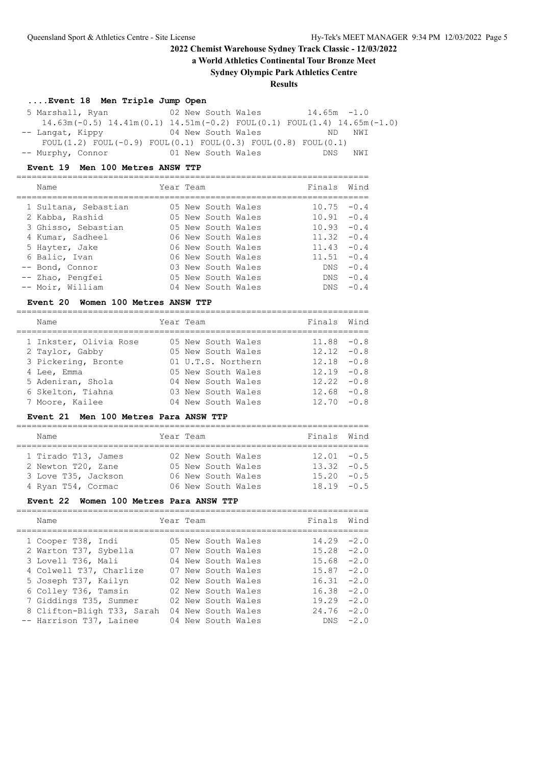**a World Athletics Continental Tour Bronze Meet**

## **Sydney Olympic Park Athletics Centre**

**Results**

## **....Event 18 Men Triple Jump Open**

 5 Marshall, Ryan 02 New South Wales 14.65m -1.0 14.63m(-0.5) 14.41m(0.1) 14.51m(-0.2) FOUL(0.1) FOUL(1.4) 14.65m(-1.0) -- Langat, Kippy 04 New South Wales ND NWI FOUL $(1.2)$  FOUL $(-0.9)$  FOUL $(0.1)$  FOUL $(0.3)$  FOUL $(0.8)$  FOUL $(0.1)$ -- Murphy, Connor 01 New South Wales DNS NWI

#### **Event 19 Men 100 Metres ANSW TTP**

|  | Name                 | Year Team |                    | Finals        | Wind   |
|--|----------------------|-----------|--------------------|---------------|--------|
|  | 1 Sultana, Sebastian |           | 05 New South Wales | 10.75         | $-0.4$ |
|  | 2 Kabba, Rashid      |           | 05 New South Wales | 10.91         | $-0.4$ |
|  | 3 Ghisso, Sebastian  |           | 05 New South Wales | 10.93         | $-0.4$ |
|  | 4 Kumar, Sadheel     |           | 06 New South Wales | 11.32         | $-0.4$ |
|  | 5 Hayter, Jake       |           | 06 New South Wales | $11.43 - 0.4$ |        |
|  | 6 Balic, Ivan        |           | 06 New South Wales | 11.51         | $-0.4$ |
|  | -- Bond, Connor      |           | 03 New South Wales | DNS.          | $-0.4$ |
|  | -- Zhao, Pengfei     |           | 05 New South Wales | DNS.          | $-0.4$ |
|  | -- Moir, William     |           | 04 New South Wales | DNS.          | $-0.4$ |
|  |                      |           |                    |               |        |

#### **Event 20 Women 100 Metres ANSW TTP**

|  | Name                   | Year Team          | Finals Wind   |  |
|--|------------------------|--------------------|---------------|--|
|  | 1 Inkster, Olivia Rose | 05 New South Wales | $11.88 - 0.8$ |  |
|  | 2 Taylor, Gabby        | 05 New South Wales | $12.12 - 0.8$ |  |
|  | 3 Pickering, Bronte    | 01 U.T.S. Northern | $12.18 - 0.8$ |  |
|  | 4 Lee, Emma            | 05 New South Wales | $12.19 - 0.8$ |  |
|  | 5 Adeniran, Shola      | 04 New South Wales | $12.22 - 0.8$ |  |
|  | 6 Skelton, Tiahna      | 03 New South Wales | $12.68 - 0.8$ |  |
|  | 7 Moore, Kailee        | 04 New South Wales | $12.70 - 0.8$ |  |
|  |                        |                    |               |  |

#### **Event 21 Men 100 Metres Para ANSW TTP**

| Name                |  |           | Finals Wind                                                                          |  |
|---------------------|--|-----------|--------------------------------------------------------------------------------------|--|
|                     |  |           |                                                                                      |  |
| 1 Tirado T13, James |  |           | $12.01 - 0.5$                                                                        |  |
| 2 Newton T20, Zane  |  |           | $13.32 - 0.5$                                                                        |  |
| 3 Love T35, Jackson |  |           | $15.20 - 0.5$                                                                        |  |
| 4 Ryan T54, Cormac  |  |           | $18.19 - 0.5$                                                                        |  |
|                     |  | Year Team | 02 New South Wales<br>05 New South Wales<br>06 New South Wales<br>06 New South Wales |  |

#### **Event 22 Women 100 Metres Para ANSW TTP**

| Name                    |                            |           |                                                                                                                                                                                                    | Finals Wind                                                         |
|-------------------------|----------------------------|-----------|----------------------------------------------------------------------------------------------------------------------------------------------------------------------------------------------------|---------------------------------------------------------------------|
| 1 Cooper T38, Indi      |                            |           |                                                                                                                                                                                                    | $-2.0$                                                              |
| 2 Warton T37, Sybella   |                            |           |                                                                                                                                                                                                    | $-2.0$                                                              |
| 3 Lovell T36, Mali      |                            |           |                                                                                                                                                                                                    | $-2.0$                                                              |
| 4 Colwell T37, Charlize |                            |           |                                                                                                                                                                                                    | $-2.0$                                                              |
| 5 Joseph T37, Kailyn    |                            |           |                                                                                                                                                                                                    | $-2.0$                                                              |
| 6 Colley T36, Tamsin    |                            |           |                                                                                                                                                                                                    | $-2.0$                                                              |
| 7 Giddings T35, Summer  |                            |           |                                                                                                                                                                                                    | $-2.0$                                                              |
|                         |                            |           |                                                                                                                                                                                                    | $24.76 - 2.0$                                                       |
| -- Harrison T37, Lainee |                            |           |                                                                                                                                                                                                    | $-2.0$                                                              |
|                         | 8 Clifton-Bligh T33, Sarah | Year Team | 05 New South Wales<br>07 New South Wales<br>04 New South Wales<br>07 New South Wales<br>02 New South Wales<br>02 New South Wales<br>02 New South Wales<br>04 New South Wales<br>04 New South Wales | 14.29<br>15.28<br>15.68<br>15.87<br>16.31<br>16.38<br>19.29<br>DNS. |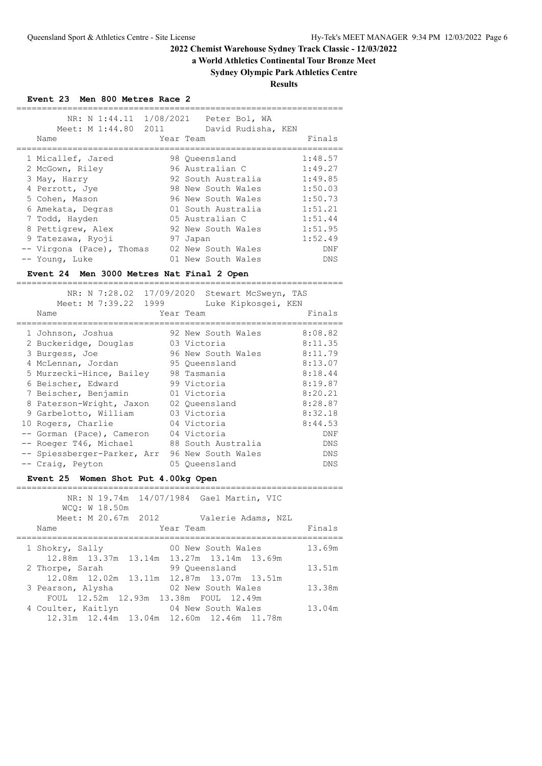# **a World Athletics Continental Tour Bronze Meet**

**Sydney Olympic Park Athletics Centre**

**Results**

**Event 23 Men 800 Metres Race 2**

| Meet: M 1:44.80 2011<br>Name | Year Team | NR: N 1:44.11 1/08/2021 Peter Bol, WA<br>David Rudisha, KEN | Finals  |
|------------------------------|-----------|-------------------------------------------------------------|---------|
|                              |           |                                                             |         |
| 1 Micallef, Jared            |           | 98 Oueensland                                               | 1:48.57 |
| 2 McGown, Riley              |           | 96 Australian C                                             | 1:49.27 |
| 3 May, Harry                 |           | 92 South Australia                                          | 1:49.85 |
| 4 Perrott, Jye               |           | 98 New South Wales                                          | 1:50.03 |
| 5 Cohen, Mason               |           | 96 New South Wales                                          | 1:50.73 |
| 6 Amekata, Degras            |           | 01 South Australia                                          | 1:51.21 |
| 7 Todd, Hayden               |           | 05 Australian C                                             | 1:51.44 |
| 8 Pettigrew, Alex            |           | 92 New South Wales                                          | 1:51.95 |
| 9 Tatezawa, Ryoji            |           | 97 Japan                                                    | 1:52.49 |
| -- Virgona (Pace), Thomas    |           | 02 New South Wales                                          | DNF     |
| -- Young, Luke               |           | 01 New South Wales                                          | DNS     |
|                              |           |                                                             |         |

# **Event 24 Men 3000 Metres Nat Final 2 Open**

| Meet: M 7:39.22 1999<br>Name | NR: N 7:28.02 17/09/2020 Stewart McSweyn, TAS<br>Luke Kipkosqei, KEN<br>Year Team | Finals  |
|------------------------------|-----------------------------------------------------------------------------------|---------|
| 1 Johnson, Joshua            | 92 New South Wales                                                                | 8:08.82 |
| 2 Buckeridge, Douglas        | 03 Victoria                                                                       | 8:11.35 |
| 3 Burgess, Joe               | 96 New South Wales                                                                | 8:11.79 |
| 4 McLennan, Jordan           | 95 Oueensland                                                                     | 8:13.07 |
| 5 Murzecki-Hince, Bailey     | 98 Tasmania                                                                       | 8:18.44 |
| 6 Beischer, Edward           | 99 Victoria                                                                       | 8:19.87 |
| 7 Beischer, Benjamin         | 01 Victoria                                                                       | 8:20.21 |
| 8 Paterson-Wright, Jaxon     | 02 Oueensland                                                                     | 8:28.87 |
| 9 Garbelotto, William        | 03 Victoria                                                                       | 8:32.18 |
| 10 Rogers, Charlie           | 04 Victoria                                                                       | 8:44.53 |
| -- Gorman (Pace), Cameron    | 04 Victoria                                                                       | DNF     |
| -- Roeger T46, Michael       | 88 South Australia                                                                | DNS     |
| -- Spiessberger-Parker, Arr  | 96 New South Wales                                                                | DNS     |
| -- Craig, Peyton             | 05 Oueensland                                                                     | DNS     |

# **Event 25 Women Shot Put 4.00kg Open**

| WCO: W 18.50m                             | NR: N 19.74m 14/07/1984 Gael Martin, VIC |        |
|-------------------------------------------|------------------------------------------|--------|
| Meet: M 20.67m 2012                       | Valerie Adams, NZL                       |        |
| Name                                      | Year Team                                | Finals |
|                                           |                                          |        |
| 1 Shokry, Sally                           | 00 New South Wales                       | 13.69m |
| 12.88m 13.37m 13.14m 13.27m 13.14m 13.69m |                                          |        |
| 2 Thorpe, Sarah                           | 99 Oueensland                            | 13.51m |
| 12.08m 12.02m 13.11m 12.87m 13.07m 13.51m |                                          |        |
| 3 Pearson, Alysha                         | 02 New South Wales                       | 13.38m |
| FOUL 12.52m 12.93m 13.38m FOUL 12.49m     |                                          |        |
| 4 Coulter, Kaitlyn 64 New South Wales     |                                          | 13.04m |
| 12.31m 12.44m 13.04m 12.60m 12.46m 11.78m |                                          |        |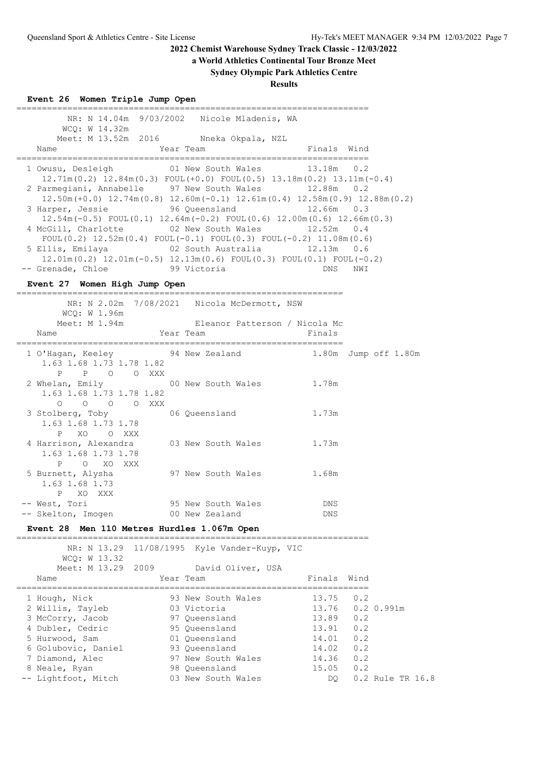**a World Athletics Continental Tour Bronze Meet**

# **Sydney Olympic Park Athletics Centre**

**Results**

| Event 26 Women Triple Jump Open                                                                                                                                         |            |                                             |                          |            |                  |
|-------------------------------------------------------------------------------------------------------------------------------------------------------------------------|------------|---------------------------------------------|--------------------------|------------|------------------|
| WCQ: W 14.32m                                                                                                                                                           |            | NR: N 14.04m 9/03/2002 Nicole Mladenis, WA  |                          |            |                  |
| Meet: M 13.52m 2016 Nneka Okpala, NZL                                                                                                                                   |            |                                             |                          |            |                  |
| Name                                                                                                                                                                    | Year Team  | _____________________________               | Finals Wind              |            |                  |
| 1 Owusu, Desleigh 61 New South Wales<br>$12.71m(0.2)$ $12.84m(0.3)$ $FOUL(+0.0)$ $FOUL(0.5)$ $13.18m(0.2)$ $13.11m(-0.4)$<br>2 Parmegiani, Annabelle 97 New South Wales |            |                                             | 13.18m 0.2<br>12.88m 0.2 |            |                  |
| $12.50\text{m}$ (+0.0) $12.74\text{m}$ (0.8) $12.60\text{m}$ (-0.1) $12.61\text{m}$ (0.4) $12.58\text{m}$ (0.9) $12.88\text{m}$ (0.2)<br>3 Harper, Jessie               |            | 96 Queensland                               | $12.66m$ 0.3             |            |                  |
| $12.54m(-0.5)$ FOUL $(0.1)$ $12.64m(-0.2)$ FOUL $(0.6)$ $12.00m(0.6)$ $12.66m(0.3)$                                                                                     |            |                                             |                          |            |                  |
| 4 McGill, Charlotte<br>FOUL $(0.2)$ 12.52m $(0.4)$ FOUL $(-0.1)$ FOUL $(0.3)$ FOUL $(-0.2)$ 11.08m $(0.6)$                                                              |            | 02 New South Wales 12.52m 0.4               |                          |            |                  |
| 5 Ellis, Emilaya (02 South Australia (12.13m) 0.6                                                                                                                       |            |                                             |                          |            |                  |
| $12.01m(0.2)$ $12.01m(-0.5)$ $12.13m(0.6)$ $FOUL(0.3)$ $FOUL(0.1)$ $FOUL(-0.2)$                                                                                         |            | 99 Victoria                                 |                          |            |                  |
| -- Grenade, Chloe                                                                                                                                                       |            |                                             | DNS                      | NWI        |                  |
| Event 27 Women High Jump Open                                                                                                                                           |            |                                             |                          |            |                  |
|                                                                                                                                                                         |            | NR: N 2.02m 7/08/2021 Nicola McDermott, NSW |                          |            |                  |
| WCO: W 1.96m<br>Meet: M 1.94m                                                                                                                                           |            | Eleanor Patterson / Nicola Mc               |                          |            |                  |
| Name                                                                                                                                                                    | Year Team  |                                             | Finals                   |            |                  |
| 1 O'Hagan, Keeley 54 New Zealand<br>1.63 1.68 1.73 1.78 1.82                                                                                                            |            |                                             | 1.80m Jump off 1.80m     |            |                  |
| P O O XXX<br>$\mathbf{P}$<br>2 Whelan, Emily 60 New South Wales 1.78m<br>1.63 1.68 1.73 1.78 1.82<br>0 0 0 0 XXX                                                        |            |                                             |                          |            |                  |
| 3 Stolberg, Toby<br>1.63 1.68 1.73 1.78<br>P<br>XO OXXX                                                                                                                 |            | 06 Queensland                               | 1.73m                    |            |                  |
| 4 Harrison, Alexandra 03 New South Wales<br>1.63 1.68 1.73 1.78<br>Ρ<br>O XO XXX                                                                                        |            |                                             | 1.73m                    |            |                  |
| 5 Burnett, Alysha<br>1.63 1.68 1.73<br>P<br>XO XXX                                                                                                                      |            | 97 New South Wales 1.68m                    |                          |            |                  |
| -- West, Tori                                                                                                                                                           |            | 95 New South Wales                          | DNS                      |            |                  |
| -- Skelton, Imogen                                                                                                                                                      |            | 00 New Zealand                              | DNS                      |            |                  |
| Event 28 Men 110 Metres Hurdles 1.067m Open                                                                                                                             |            |                                             |                          |            |                  |
| NR: N 13.29<br>WCQ: W 13.32                                                                                                                                             | 11/08/1995 | Kyle Vander-Kuyp, VIC                       | =======================  |            |                  |
| Meet: M 13.29<br>2009                                                                                                                                                   |            | David Oliver, USA                           |                          |            |                  |
| Name                                                                                                                                                                    | Year Team  |                                             | Finals                   | Wind       |                  |
| 1 Hough, Nick                                                                                                                                                           |            | 93 New South Wales                          | 13.75                    | 0.2        |                  |
| 2 Willis, Tayleb                                                                                                                                                        |            | 03 Victoria                                 | 13.76                    |            | 0.2 0.991m       |
| 3 McCorry, Jacob                                                                                                                                                        |            | 97 Queensland                               | 13.89                    | 0.2        |                  |
| 4 Dubler, Cedric<br>5 Hurwood, Sam                                                                                                                                      |            | 95 Queensland<br>01 Queensland              | 13.91<br>14.01           | 0.2<br>0.2 |                  |
| 6 Golubovic, Daniel                                                                                                                                                     |            | 93 Queensland                               | 14.02                    | 0.2        |                  |
| 7 Diamond, Alec                                                                                                                                                         |            | 97 New South Wales                          | 14.36                    | 0.2        |                  |
| 8 Neale, Ryan                                                                                                                                                           |            | 98 Queensland                               | 15.05                    | 0.2        |                  |
| -- Lightfoot, Mitch                                                                                                                                                     |            | 03 New South Wales                          | DQ                       |            | 0.2 Rule TR 16.8 |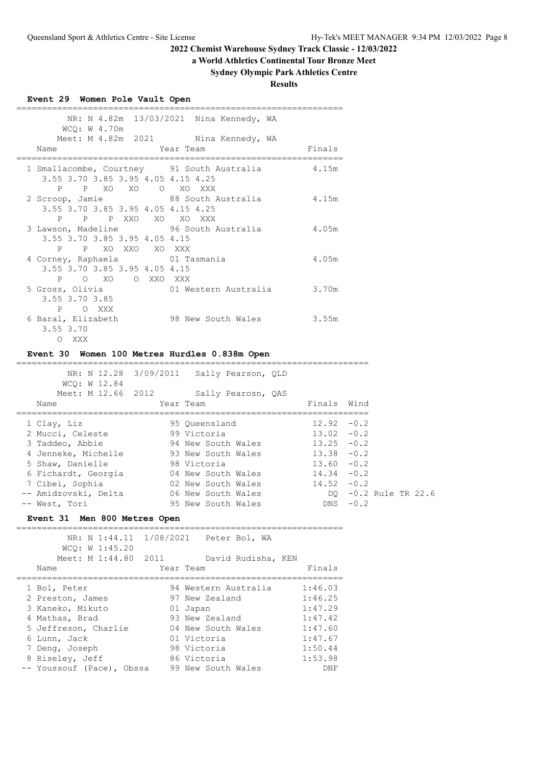# **a World Athletics Continental Tour Bronze Meet**

# **Sydney Olympic Park Athletics Centre**

**Results**

| Event 29 Women Pole Vault Open                                                                                               |                                                                                                |                                |            |                      |
|------------------------------------------------------------------------------------------------------------------------------|------------------------------------------------------------------------------------------------|--------------------------------|------------|----------------------|
| WCQ: W 4.70m<br>Name                                                                                                         | NR: N 4.82m 13/03/2021 Nina Kennedy, WA<br>Meet: M 4.82m 2021 Nina Kennedy, WA<br>Year Team    | Finals                         |            |                      |
| 1 Smallacombe, Courtney 91 South Australia 4.15m<br>3.55 3.70 3.85 3.95 4.05 4.15 4.25<br>Ρ                                  |                                                                                                |                                |            |                      |
| P XO XO O XO XXX<br>2 Scroop, Jamie 68 South Australia 4.15m<br>3.55 3.70 3.85 3.95 4.05 4.15 4.25<br>P P XXO XO XO XXX<br>P |                                                                                                |                                |            |                      |
| 3 Lawson, Madeline 56 South Australia 54.05m<br>3.55 3.70 3.85 3.95 4.05 4.15<br>P XO XXO XO XXX<br>P                        |                                                                                                |                                |            |                      |
| 4 Corney, Raphaela 61 Tasmania<br>3.55 3.70 3.85 3.95 4.05 4.15<br>$\mathbf{P}$<br>O XO O XXO XXX                            |                                                                                                | 4.05m                          |            |                      |
| 5 Gross, Olivia<br>3.55 3.70 3.85<br>P O XXX                                                                                 | 01 Western Australia 3.70m                                                                     |                                |            |                      |
| 6 Baral, Elizabeth 98 New South Wales 3.55m<br>3.55 3.70<br>O XXX                                                            |                                                                                                |                                |            |                      |
| Event 30 Women 100 Metres Hurdles 0.838m Open                                                                                |                                                                                                |                                |            |                      |
| WCQ: W 12.84<br>Name                                                                                                         | NR: N 12.28 3/09/2011 Sally Pearson, QLD<br>Meet: M 12.66 2012 Sally Pearosn, QAS<br>Year Team | Finals Wind                    |            |                      |
| 1 Clay, Liz<br>2 Mucci, Celeste 99 Victoria                                                                                  | 95 Queensland<br>$12.92 - 0.2$                                                                 | $13.02 - 0.2$                  |            |                      |
| 3 Taddeo, Abbie                                                                                                              | 94 New South Wales 13.25 -0.2                                                                  |                                |            |                      |
|                                                                                                                              |                                                                                                | $13.38 - 0.2$<br>$13.60 - 0.2$ |            |                      |
|                                                                                                                              |                                                                                                |                                |            |                      |
| 6 Fichardt, Georgia and 1992 New South Wales<br>7 Cibei, Sophia and 1992 New South Wales<br>19.52 -0.2                       |                                                                                                |                                |            |                      |
| -- Amidzovski, Delta 66 New South Wales                                                                                      |                                                                                                |                                |            | DQ -0.2 Rule TR 22.6 |
| -- West, Tori                                                                                                                |                                                                                                |                                |            |                      |
|                                                                                                                              | 95 New South Wales                                                                             |                                | $DNS -0.2$ |                      |
| Event 31 Men 800 Metres Open                                                                                                 |                                                                                                |                                |            |                      |
| NR: N 1:44.11 1/08/2021<br>WCQ: W 1:45.20                                                                                    | Peter Bol, WA                                                                                  |                                |            |                      |
| Meet: M 1:44.80<br>2011<br>Name                                                                                              | David Rudisha, KEN<br>Year Team                                                                | Finals                         |            |                      |
| 1 Bol, Peter                                                                                                                 | 94 Western Australia                                                                           | 1:46.03                        |            |                      |
| 2 Preston, James                                                                                                             | 97 New Zealand                                                                                 | 1:46.25                        |            |                      |
| 3 Kaneko, Mikuto                                                                                                             | 01 Japan                                                                                       | 1:47.29                        |            |                      |
| 4 Mathas, Brad                                                                                                               | 93 New Zealand                                                                                 | 1:47.42                        |            |                      |
| 5 Jeffreson, Charlie                                                                                                         | 04 New South Wales                                                                             | 1:47.60                        |            |                      |
| 6 Lunn, Jack                                                                                                                 | 01 Victoria                                                                                    | 1:47.67                        |            |                      |
| 7 Deng, Joseph<br>8 Riseley, Jeff                                                                                            | 98 Victoria<br>86 Victoria                                                                     | 1:50.44<br>1:53.98             |            |                      |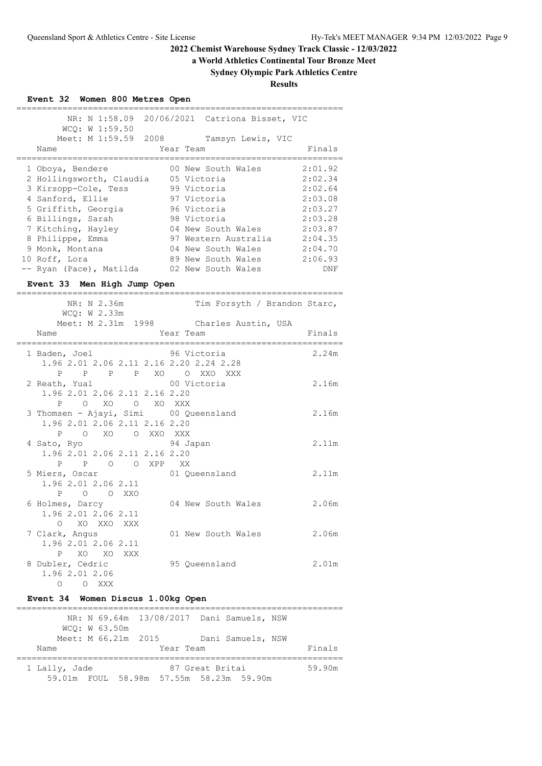**a World Athletics Continental Tour Bronze Meet**

# **Sydney Olympic Park Athletics Centre**

**Results**

| Event 32 Women 800 Metres Open                                     |                                           |         |
|--------------------------------------------------------------------|-------------------------------------------|---------|
| NR: N 1:58.09<br>WCQ: W 1:59.50                                    | 20/06/2021 Catriona Bisset, VIC           |         |
| Meet: M 1:59.59 2008                                               | Tamsyn Lewis, VIC                         |         |
| Name                                                               | Year Team                                 | Finals  |
| 1 Oboya, Bendere                                                   | 00 New South Wales                        | 2:01.92 |
| 2 Hollingsworth, Claudia 05 Victoria                               |                                           | 2:02.34 |
| 3 Kirsopp-Cole, Tess                                               | 99 Victoria                               | 2:02.64 |
| 4 Sanford, Ellie                                                   | 97 Victoria                               | 2:03.08 |
| 5 Griffith, Georgia                                                | 96 Victoria                               | 2:03.27 |
| 6 Billings, Sarah                                                  | 98 Victoria<br>04 New South Wales         | 2:03.28 |
| 7 Kitching, Hayley<br>8 Philippe, Emma                             | 97 Western Australia 2:04.35              | 2:03.87 |
| 9 Monk, Montana                                                    | 04 New South Wales                        | 2:04.70 |
| 10 Roff, Lora                                                      | 89 New South Wales                        | 2:06.93 |
| -- Ryan (Pace), Matilda 02 New South Wales                         |                                           | DNF     |
| Event 33 Men High Jump Open                                        |                                           |         |
| ===========                                                        |                                           |         |
| NR: N 2.36m<br>WCQ: W 2.33m                                        | Tim Forsyth / Brandon Starc,              |         |
|                                                                    | Meet: M 2.31m 1998 Charles Austin, USA    |         |
| Name                                                               | Year Team                                 | Finals  |
| 1 Baden, Joel                                                      | 96 Victoria                               | 2.24m   |
| 1.96 2.01 2.06 2.11 2.16 2.20 2.24 2.28                            |                                           |         |
| $\mathbf{P}$<br>$\overline{P}$                                     | P P XO O XXO XXX                          |         |
| 2 Reath, Yual                                                      | 00 Victoria                               | 2.16m   |
| 1.96 2.01 2.06 2.11 2.16 2.20                                      |                                           |         |
| O XO O XO XXX<br>P                                                 |                                           |         |
| 3 Thomsen - Ajayi, Simi 00 Queensland                              |                                           | 2.16m   |
| 1.96 2.01 2.06 2.11 2.16 2.20<br>O XXO XXX<br>$\mathbf{P}$<br>O XO |                                           |         |
| 4 Sato, Ryo                                                        | 94 Japan                                  | 2.11m   |
| 1.96 2.01 2.06 2.11 2.16 2.20                                      |                                           |         |
| O O XPP XX<br>$\mathbf{P}$<br>$\mathsf{P}$                         |                                           |         |
| 5 Miers, Oscar                                                     | 01 Queensland                             | 2.11m   |
| 1.96 2.01 2.06 2.11                                                |                                           |         |
| P<br>$\Omega$<br>$\circ$<br>- XXO                                  |                                           |         |
| 6 Holmes, Darcy                                                    | 04 New South Wales                        | 2.06m   |
| 1.96 2.01 2.06 2.11                                                |                                           |         |
| XO XXO XXX<br>$\Omega$<br>7 Clark, Angus                           | 01 New South Wales                        | 2.06m   |
| 1.96 2.01 2.06 2.11                                                |                                           |         |
| XO<br>XO<br>P<br>XXX                                               |                                           |         |
| 8 Dubler, Cedric                                                   | 95 Queensland                             | 2.01m   |
| 1.96 2.01 2.06                                                     |                                           |         |
| O XXX<br>$\circ$                                                   |                                           |         |
| Event 34 Women Discus 1.00kg Open                                  |                                           |         |
| =========================                                          |                                           |         |
|                                                                    |                                           |         |
|                                                                    | NR: N 69.64m 13/08/2017 Dani Samuels, NSW |         |
| WCQ: W 63.50m<br>Meet: M 66.21m 2015                               | Dani Samuels, NSW                         |         |

 1 Lally, Jade 87 Great Britai 59.90m 59.01m FOUL 58.98m 57.55m 58.23m 59.90m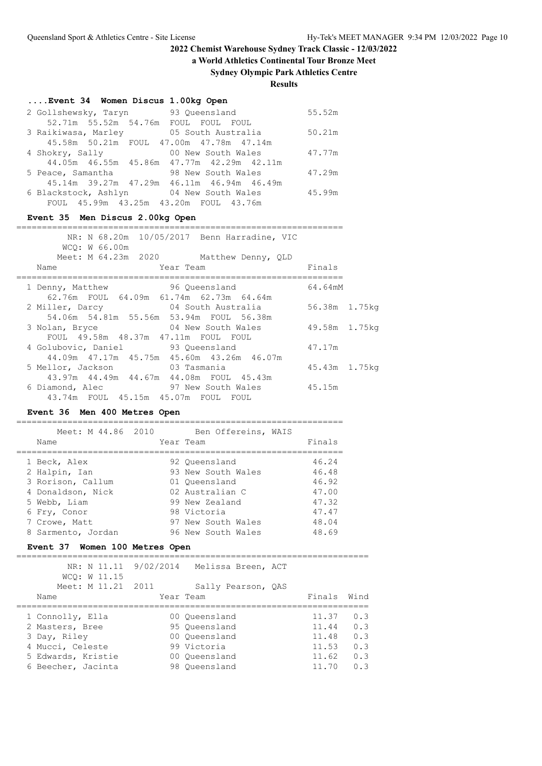**a World Athletics Continental Tour Bronze Meet**

## **Sydney Olympic Park Athletics Centre**

**Results**

# **....Event 34 Women Discus 1.00kg Open**

| 2 Gollshewsky, Taryn | 93 Oueensland                             | 55.52m |
|----------------------|-------------------------------------------|--------|
|                      | 52.71m 55.52m 54.76m FOUL FOUL FOUL       |        |
| 3 Raikiwasa, Marley  | 05 South Australia                        | 50.21m |
|                      | 45.58m 50.21m FOUL 47.00m 47.78m 47.14m   |        |
| 4 Shokry, Sally      | 00 New South Wales                        | 47.77m |
|                      | 44.05m 46.55m 45.86m 47.77m 42.29m 42.11m |        |
| 5 Peace, Samantha    | 98 New South Wales                        | 47.29m |
|                      | 45.14m 39.27m 47.29m 46.11m 46.94m 46.49m |        |
|                      | 6 Blackstock, Ashlyn 04 New South Wales   | 45.99m |
|                      | FOUL 45.99m 43.25m 43.20m FOUL 43.76m     |        |

# **Event 35 Men Discus 2.00kg Open**

|                                         |               | NR: N 68.20m 10/05/2017 Benn Harradine, VIC |               |  |
|-----------------------------------------|---------------|---------------------------------------------|---------------|--|
| WCO: W 66.00m                           |               |                                             |               |  |
|                                         |               | Meet: M 64.23m 2020 Matthew Denny, QLD      |               |  |
| Name                                    | Year Team     |                                             | Finals        |  |
|                                         |               |                                             |               |  |
| 1 Denny, Matthew                        | 96 Oueensland |                                             | 64.64mM       |  |
| 62.76m FOUL 64.09m 61.74m 62.73m 64.64m |               |                                             |               |  |
| 2 Miller, Darcy 64 South Australia      |               |                                             | 56.38m 1.75kg |  |
| 54.06m 54.81m 55.56m 53.94m FOUL 56.38m |               |                                             |               |  |
| 3 Nolan, Bryce                          |               | 04 New South Wales                          | 49.58m 1.75kg |  |
| FOUL 49.58m 48.37m 47.11m FOUL FOUL     |               |                                             |               |  |
| 4 Golubovic, Daniel 93 Queensland       |               |                                             | 47.17m        |  |
|                                         |               | 44.09m 47.17m 45.75m 45.60m 43.26m 46.07m   |               |  |
| 5 Mellor, Jackson 63 Tasmania           |               |                                             | 45.43m 1.75kg |  |
| 43.97m 44.49m 44.67m 44.08m FOUL 45.43m |               |                                             |               |  |
| 6 Diamond, Alec 67 New South Wales      |               |                                             | 45.15m        |  |
| 43.74m FOUL 45.15m 45.07m FOUL FOUL     |               |                                             |               |  |
|                                         |               |                                             |               |  |

## **Event 36 Men 400 Metres Open**

| Meet: M 44.86 2010<br>Name | Ben Offereins, WAIS<br>Year Team | Finals |
|----------------------------|----------------------------------|--------|
| 1 Beck, Alex               | 92 Oueensland                    | 46.24  |
| 2 Halpin, Ian              | 93 New South Wales               | 46.48  |
| 3 Rorison, Callum          | 01 Oueensland                    | 46.92  |
| 4 Donaldson, Nick          | 02 Australian C                  | 47.00  |
| 5 Webb, Liam               | 99 New Zealand                   | 47.32  |
| 6 Fry, Conor               | 98 Victoria                      | 47.47  |
| 7 Crowe, Matt              | 97 New South Wales               | 48.04  |
| 8 Sarmento, Jordan         | 96 New South Wales               | 48.69  |
|                            |                                  |        |

## **Event 37 Women 100 Metres Open**

| WCO: W 11.15       |      | NR: N 11.11 9/02/2014 Melissa Breen, ACT |             |     |
|--------------------|------|------------------------------------------|-------------|-----|
| Meet: M 11.21      | 2011 | Sally Pearson, QAS                       |             |     |
| Name               |      | Year Team                                | Finals Wind |     |
|                    |      |                                          |             |     |
| 1 Connolly, Ella   |      | 00 Oueensland                            | 11.37       | 0.3 |
| 2 Masters, Bree    |      | 95 Oueensland                            | 11.44       | 0.3 |
| 3 Day, Riley       |      | 00 Oueensland                            | 11.48       | 0.3 |
| 4 Mucci, Celeste   |      | 99 Victoria                              | 11.53       | 0.3 |
| 5 Edwards, Kristie |      | 00 Oueensland                            | 11.62       | 0.3 |
| 6 Beecher, Jacinta |      | 98 Oueensland                            | 11.70       | 0.3 |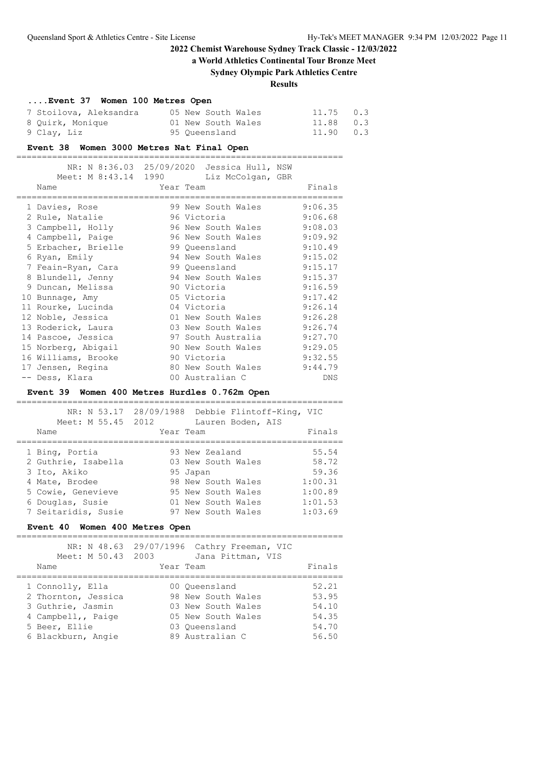**a World Athletics Continental Tour Bronze Meet**

## **Sydney Olympic Park Athletics Centre**

**Results**

# **....Event 37 Women 100 Metres Open**

| 7 Stoilova, Aleksandra |  | 05 New South Wales | 11.75 0.3 |  |
|------------------------|--|--------------------|-----------|--|
| 8 Quirk, Monique       |  | 01 New South Wales | 11.88 0.3 |  |
| 9 Clav, Liz            |  | 95 Oueensland      | 11.90 0.3 |  |

================================================================

#### **Event 38 Women 3000 Metres Nat Final Open**

| Meet: M 8:43.14 1990 |             | NR: N 8:36.03 25/09/2020 Jessica Hull, NSW<br>Liz McColgan, GBR |         |
|----------------------|-------------|-----------------------------------------------------------------|---------|
| Name                 | Year Team   |                                                                 | Finals  |
| 1 Davies, Rose       |             | 99 New South Wales                                              | 9:06.35 |
| 2 Rule, Natalie      |             | 96 Victoria                                                     | 9:06.68 |
| 3 Campbell, Holly    |             | 96 New South Wales                                              | 9:08.03 |
| 4 Campbell, Paige    |             | 96 New South Wales                                              | 9:09.92 |
| 5 Erbacher, Brielle  |             | 99 Oueensland                                                   | 9:10.49 |
| 6 Ryan, Emily        |             | 94 New South Wales                                              | 9:15.02 |
| 7 Feain-Ryan, Cara   |             | 99 Queensland                                                   | 9:15.17 |
| 8 Blundell, Jenny    |             | 94 New South Wales                                              | 9:15.37 |
| 9 Duncan, Melissa    | 90 Victoria |                                                                 | 9:16.59 |
| 10 Bunnage, Amy      |             | 05 Victoria                                                     | 9:17.42 |
| 11 Rourke, Lucinda   |             | 04 Victoria                                                     | 9:26.14 |
| 12 Noble, Jessica    |             | 01 New South Wales                                              | 9:26.28 |
| 13 Roderick, Laura   |             | 03 New South Wales                                              | 9:26.74 |
| 14 Pascoe, Jessica   |             | 97 South Australia                                              | 9:27.70 |
| 15 Norberg, Abigail  |             | 90 New South Wales                                              | 9:29.05 |
| 16 Williams, Brooke  |             | 90 Victoria                                                     | 9:32.55 |
| 17 Jensen, Regina    |             | 80 New South Wales                                              | 9:44.79 |
| -- Dess, Klara       |             | 00 Australian C                                                 | DNS     |

#### **Event 39 Women 400 Metres Hurdles 0.762m Open**

| Meet: M 55.45 2012  | NR: N 53.17 28/09/1988 Debbie Flintoff-King, VIC<br>Lauren Boden, AIS |         |
|---------------------|-----------------------------------------------------------------------|---------|
| Name                | Year Team                                                             | Finals  |
|                     |                                                                       |         |
| 1 Bing, Portia      | 93 New Zealand                                                        | 55.54   |
| 2 Guthrie, Isabella | 03 New South Wales                                                    | 58.72   |
| 3 Ito, Akiko        | 95 Japan                                                              | 59.36   |
| 4 Mate, Brodee      | 98 New South Wales                                                    | 1:00.31 |
| 5 Cowie, Genevieve  | 95 New South Wales                                                    | 1:00.89 |
| 6 Douglas, Susie    | 01 New South Wales                                                    | 1:01.53 |
| 7 Seitaridis, Susie | 97 New South Wales                                                    | 1:03.69 |

## **Event 40 Women 400 Metres Open**

| NR: N 48.63<br>Meet: M 50.43 2003<br>Name                                                                                 | 29/07/1996 Cathry Freeman, VIC<br>Jana Pittman, VIS<br>Year Team                                                    | Finals                                             |
|---------------------------------------------------------------------------------------------------------------------------|---------------------------------------------------------------------------------------------------------------------|----------------------------------------------------|
| 1 Connolly, Ella<br>2 Thornton, Jessica<br>3 Guthrie, Jasmin<br>4 Campbell,, Paige<br>5 Beer, Ellie<br>6 Blackburn, Angie | 00 Oueensland<br>98 New South Wales<br>03 New South Wales<br>05 New South Wales<br>03 Oueensland<br>89 Australian C | 52.21<br>53.95<br>54.10<br>54.35<br>54.70<br>56.50 |